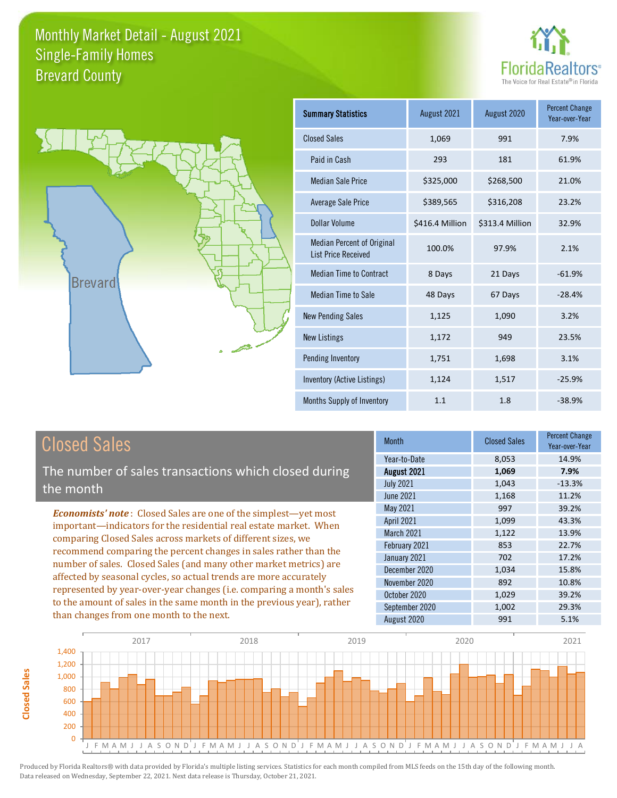



**Closed Sales**

**Closed Sales** 

| <b>Summary Statistics</b>                                       | August 2021     | August 2020     | <b>Percent Change</b><br>Year-over-Year |
|-----------------------------------------------------------------|-----------------|-----------------|-----------------------------------------|
| <b>Closed Sales</b>                                             | 1,069           | 991             | 7.9%                                    |
| Paid in Cash                                                    | 293             | 181             | 61.9%                                   |
| <b>Median Sale Price</b>                                        | \$325,000       | \$268,500       | 21.0%                                   |
| <b>Average Sale Price</b>                                       | \$389,565       | \$316,208       | 23.2%                                   |
| Dollar Volume                                                   | \$416.4 Million | \$313.4 Million | 32.9%                                   |
| <b>Median Percent of Original</b><br><b>List Price Received</b> | 100.0%          | 97.9%           | 2.1%                                    |
| <b>Median Time to Contract</b>                                  | 8 Days          | 21 Days         | $-61.9%$                                |
| Median Time to Sale                                             | 48 Days         | 67 Days         | $-28.4%$                                |
| <b>New Pending Sales</b>                                        | 1,125           | 1,090           | 3.2%                                    |
| <b>New Listings</b>                                             | 1,172           | 949             | 23.5%                                   |
| <b>Pending Inventory</b>                                        | 1,751           | 1,698           | 3.1%                                    |
| Inventory (Active Listings)                                     | 1,124           | 1,517           | $-25.9%$                                |
| Months Supply of Inventory                                      | 1.1             | 1.8             | $-38.9%$                                |

| <b>Closed Sales</b>                                                                                                                                                                                                                                                                                                                                                                                                                                                                                                                                                                                                      | <b>Month</b>                                                                                                                                                    | <b>Closed Sales</b>                                                          | <b>Percent Change</b><br>Year-over-Year                                               |
|--------------------------------------------------------------------------------------------------------------------------------------------------------------------------------------------------------------------------------------------------------------------------------------------------------------------------------------------------------------------------------------------------------------------------------------------------------------------------------------------------------------------------------------------------------------------------------------------------------------------------|-----------------------------------------------------------------------------------------------------------------------------------------------------------------|------------------------------------------------------------------------------|---------------------------------------------------------------------------------------|
| The number of sales transactions which closed during<br>the month                                                                                                                                                                                                                                                                                                                                                                                                                                                                                                                                                        | Year-to-Date<br>August 2021<br><b>July 2021</b><br>June 2021                                                                                                    | 8,053<br>1,069<br>1,043<br>1,168                                             | 14.9%<br>7.9%<br>$-13.3%$<br>11.2%                                                    |
| <b>Economists' note:</b> Closed Sales are one of the simplest—yet most<br>important—indicators for the residential real estate market. When<br>comparing Closed Sales across markets of different sizes, we<br>recommend comparing the percent changes in sales rather than the<br>number of sales. Closed Sales (and many other market metrics) are<br>affected by seasonal cycles, so actual trends are more accurately<br>represented by year-over-year changes (i.e. comparing a month's sales<br>to the amount of sales in the same month in the previous year), rather<br>than changes from one month to the next. | May 2021<br><b>April 2021</b><br>March 2021<br>February 2021<br>January 2021<br>December 2020<br>November 2020<br>October 2020<br>September 2020<br>August 2020 | 997<br>1,099<br>1,122<br>853<br>702<br>1,034<br>892<br>1,029<br>1,002<br>991 | 39.2%<br>43.3%<br>13.9%<br>22.7%<br>17.2%<br>15.8%<br>10.8%<br>39.2%<br>29.3%<br>5.1% |

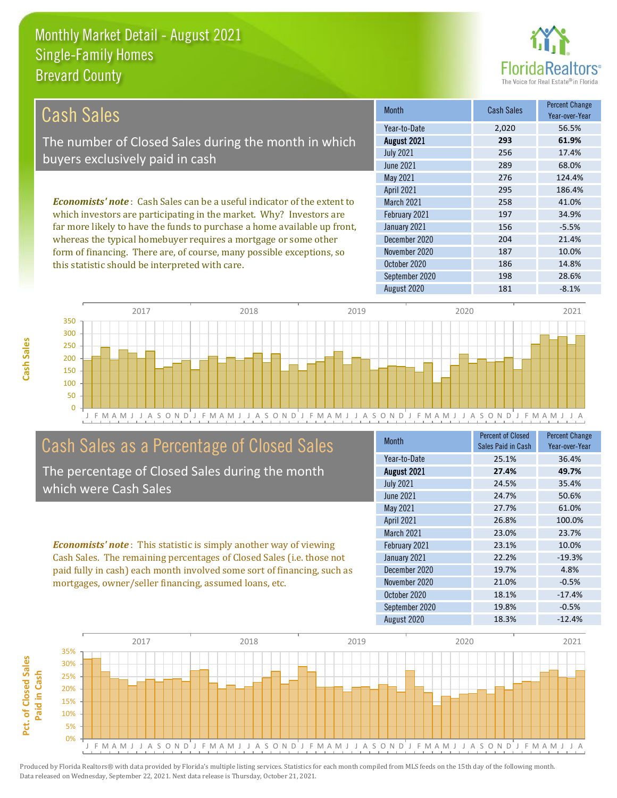this statistic should be interpreted with care.



| Cash Sales                                                                     | <b>Month</b>      | <b>Cash Sales</b> | <b>Percent Change</b><br>Year-over-Year |
|--------------------------------------------------------------------------------|-------------------|-------------------|-----------------------------------------|
|                                                                                | Year-to-Date      | 2,020             | 56.5%                                   |
| The number of Closed Sales during the month in which                           | August 2021       | 293               | 61.9%                                   |
| buyers exclusively paid in cash                                                | <b>July 2021</b>  | 256               | 17.4%                                   |
|                                                                                | June 2021         | 289               | 68.0%                                   |
|                                                                                | May 2021          | 276               | 124.4%                                  |
|                                                                                | <b>April 2021</b> | 295               | 186.4%                                  |
| <b>Economists' note:</b> Cash Sales can be a useful indicator of the extent to | <b>March 2021</b> | 258               | 41.0%                                   |
| which investors are participating in the market. Why? Investors are            | February 2021     | 197               | 34.9%                                   |
| far more likely to have the funds to purchase a home available up front,       | January 2021      | 156               | $-5.5%$                                 |
| whereas the typical homebuyer requires a mortgage or some other                | December 2020     | 204               | 21.4%                                   |
| form of financing. There are, of course, many possible exceptions, so          | November 2020     | 187               | 10.0%                                   |
| this statistic should be interpreted with care                                 | October 2020      | 186               | 14.8%                                   |



### Cash Sales as a Percentage of Closed Sales

The percentage of Closed Sales during the month which were Cash Sales

*Economists' note* : This statistic is simply another way of viewing Cash Sales. The remaining percentages of Closed Sales (i.e. those not paid fully in cash) each month involved some sort of financing, such as mortgages, owner/seller financing, assumed loans, etc.

| Month             | Percent of Closed<br>Sales Paid in Cash | <b>Percent Change</b><br>Year-over-Year |
|-------------------|-----------------------------------------|-----------------------------------------|
| Year-to-Date      | 25.1%                                   | 36.4%                                   |
| August 2021       | 27.4%                                   | 49.7%                                   |
| <b>July 2021</b>  | 24.5%                                   | 35.4%                                   |
| June 2021         | 24.7%                                   | 50.6%                                   |
| May 2021          | 27.7%                                   | 61.0%                                   |
| April 2021        | 26.8%                                   | 100.0%                                  |
| <b>March 2021</b> | 23.0%                                   | 23.7%                                   |
| February 2021     | 23.1%                                   | 10.0%                                   |
| January 2021      | 22.2%                                   | $-19.3%$                                |
| December 2020     | 19.7%                                   | 4.8%                                    |
| November 2020     | 21.0%                                   | $-0.5%$                                 |
| October 2020      | 18.1%                                   | $-17.4%$                                |
| September 2020    | 19.8%                                   | $-0.5%$                                 |
| August 2020       | 18.3%                                   | $-12.4%$                                |

September 2020 198 28.6%

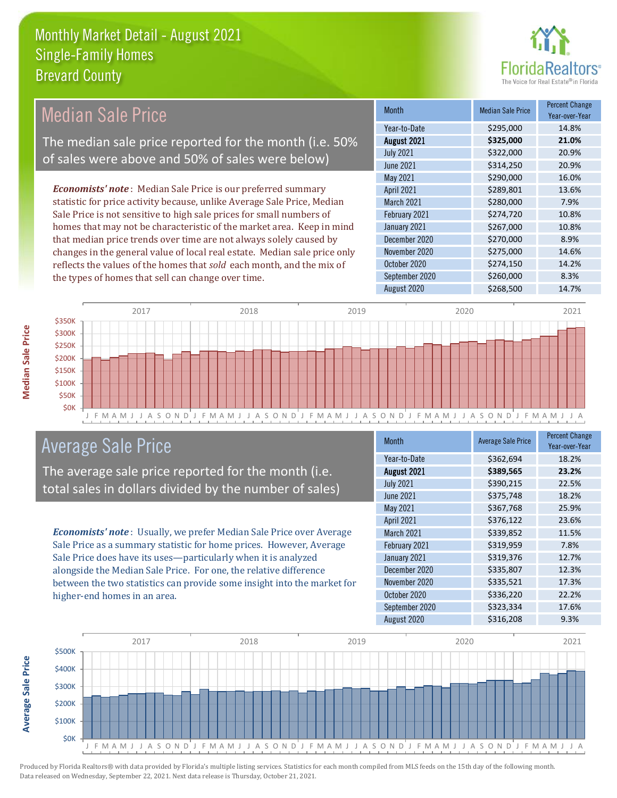

#### Month Median Sale Price Percent Change Year-over-Year August 2021 **\$325,000 21.0%** Year-to-Date \$295,000 14.8% January 2021 **\$267,000** 10.8% July 2021 **\$322,000** \$322,000 20.9% June 2021 **\$314,250** 20.9% March 2021 **\$280,000** 7.9% February 2021 \$274,720 10.8% May 2021 **\$290,000** \$290,000 16.0% April 2021 **\$289,801** \$289,801 13.6% December 2020 \$270,000 8.9% November 2020 \$275,000 14.6% October 2020 **\$274,150** \$274,150 September 2020 \$260,000 8.3% August 2020 \$268,500 14.7% *Economists' note* : Median Sale Price is our preferred summary statistic for price activity because, unlike Average Sale Price, Median Sale Price is not sensitive to high sale prices for small numbers of homes that may not be characteristic of the market area. Keep in mind that median price trends over time are not always solely caused by changes in the general value of local real estate. Median sale price only reflects the values of the homes that *sold* each month, and the mix of the types of homes that sell can change over time. Median Sale Price The median sale price reported for the month (i.e. 50% of sales were above and 50% of sales were below)



#### Average Sale Price

The average sale price reported for the month (i.e. total sales in dollars divided by the number of sales)

*Economists' note* : Usually, we prefer Median Sale Price over Average Sale Price as a summary statistic for home prices. However, Average Sale Price does have its uses—particularly when it is analyzed alongside the Median Sale Price. For one, the relative difference between the two statistics can provide some insight into the market for higher-end homes in an area.

| <b>Month</b>     | <b>Average Sale Price</b> | <b>Percent Change</b><br>Year-over-Year |
|------------------|---------------------------|-----------------------------------------|
| Year-to-Date     | \$362,694                 | 18.2%                                   |
| August 2021      | \$389,565                 | 23.2%                                   |
| <b>July 2021</b> | \$390,215                 | 22.5%                                   |
| <b>June 2021</b> | \$375,748                 | 18.2%                                   |
| May 2021         | \$367,768                 | 25.9%                                   |
| April 2021       | \$376,122                 | 23.6%                                   |
| March 2021       | \$339,852                 | 11.5%                                   |
| February 2021    | \$319,959                 | 7.8%                                    |
| January 2021     | \$319,376                 | 12.7%                                   |
| December 2020    | \$335,807                 | 12.3%                                   |
| November 2020    | \$335,521                 | 17.3%                                   |
| October 2020     | \$336,220                 | 22.2%                                   |
| September 2020   | \$323,334                 | 17.6%                                   |
| August 2020      | \$316,208                 | 9.3%                                    |



**Median Sale Price**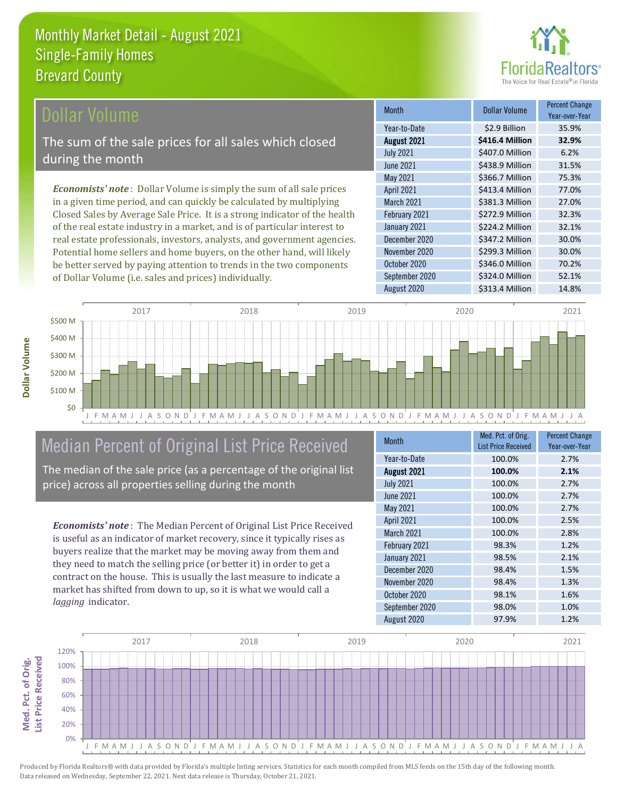

#### ollar Volume

The sum of the sale prices for all sales which closed during the month

*Economists' note* : Dollar Volume is simply the sum of all sale prices in a given time period, and can quickly be calculated by multiplying Closed Sales by Average Sale Price. It is a strong indicator of the health of the real estate industry in a market, and is of particular interest to real estate professionals, investors, analysts, and government agencies. Potential home sellers and home buyers, on the other hand, will likely be better served by paying attention to trends in the two components of Dollar Volume (i.e. sales and prices) individually.

| <b>Month</b>      | Dollar Volume   | <b>Percent Change</b><br>Year-over-Year |
|-------------------|-----------------|-----------------------------------------|
| Year-to-Date      | \$2.9 Billion   | 35.9%                                   |
| August 2021       | \$416.4 Million | 32.9%                                   |
| <b>July 2021</b>  | \$407.0 Million | 6.2%                                    |
| <b>June 2021</b>  | \$438.9 Million | 31.5%                                   |
| May 2021          | \$366.7 Million | 75.3%                                   |
| April 2021        | \$413.4 Million | 77.0%                                   |
| <b>March 2021</b> | \$381.3 Million | 27.0%                                   |
| February 2021     | \$272.9 Million | 32.3%                                   |
| January 2021      | \$224.2 Million | 32.1%                                   |
| December 2020     | \$347.2 Million | 30.0%                                   |
| November 2020     | \$299.3 Million | 30.0%                                   |
| October 2020      | \$346.0 Million | 70.2%                                   |
| September 2020    | \$324.0 Million | 52.1%                                   |
| August 2020       | \$313.4 Million | 14.8%                                   |



## Median Percent of Original List Price Received

The median of the sale price (as a percentage of the original list price) across all properties selling during the month

*Economists' note* : The Median Percent of Original List Price Received is useful as an indicator of market recovery, since it typically rises as buyers realize that the market may be moving away from them and they need to match the selling price (or better it) in order to get a contract on the house. This is usually the last measure to indicate a market has shifted from down to up, so it is what we would call a *lagging* indicator.

| <b>Month</b>      | Med. Pct. of Orig.<br><b>List Price Received</b> | <b>Percent Change</b><br>Year-over-Year |
|-------------------|--------------------------------------------------|-----------------------------------------|
| Year-to-Date      | 100.0%                                           | 2.7%                                    |
| August 2021       | 100.0%                                           | 2.1%                                    |
| <b>July 2021</b>  | 100.0%                                           | 2.7%                                    |
| <b>June 2021</b>  | 100.0%                                           | 2.7%                                    |
| May 2021          | 100.0%                                           | 2.7%                                    |
| April 2021        | 100.0%                                           | 2.5%                                    |
| <b>March 2021</b> | 100.0%                                           | 2.8%                                    |
| February 2021     | 98.3%                                            | 1.2%                                    |
| January 2021      | 98.5%                                            | 2.1%                                    |
| December 2020     | 98.4%                                            | 1.5%                                    |
| November 2020     | 98.4%                                            | 1.3%                                    |
| October 2020      | 98.1%                                            | 1.6%                                    |
| September 2020    | 98.0%                                            | 1.0%                                    |
| August 2020       | 97.9%                                            | 1.2%                                    |

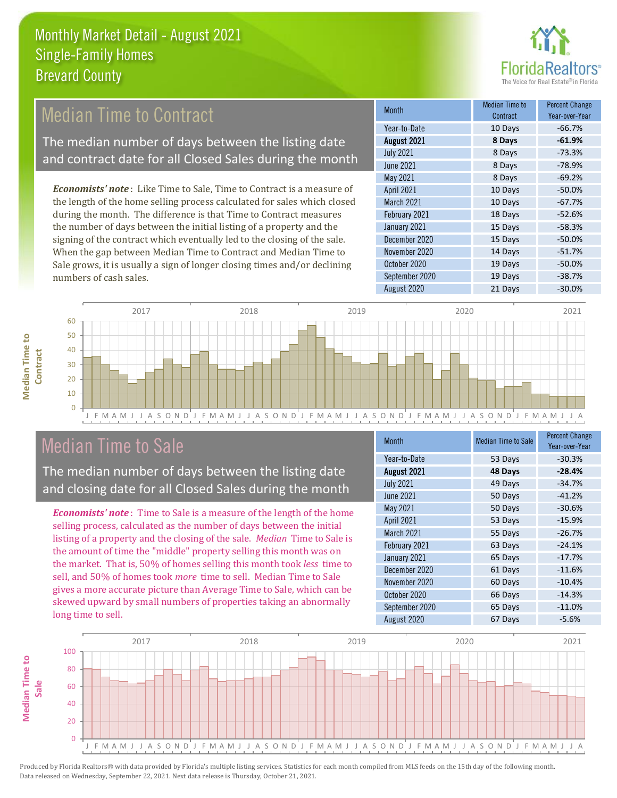

### Median Time to Contract

The median number of days between the listing date and contract date for all Closed Sales during the month

*Economists' note* : Like Time to Sale, Time to Contract is a measure of the length of the home selling process calculated for sales which closed during the month. The difference is that Time to Contract measures the number of days between the initial listing of a property and the signing of the contract which eventually led to the closing of the sale. When the gap between Median Time to Contract and Median Time to Sale grows, it is usually a sign of longer closing times and/or declining numbers of cash sales.

| <b>Month</b>     | Median Time to<br>Contract | <b>Percent Change</b><br>Year-over-Year |
|------------------|----------------------------|-----------------------------------------|
| Year-to-Date     | 10 Days                    | $-66.7%$                                |
| August 2021      | 8 Days                     | $-61.9%$                                |
| <b>July 2021</b> | 8 Days                     | $-73.3%$                                |
| <b>June 2021</b> | 8 Days                     | $-78.9%$                                |
| May 2021         | 8 Days                     | $-69.2%$                                |
| April 2021       | 10 Days                    | $-50.0%$                                |
| March 2021       | 10 Days                    | $-67.7%$                                |
| February 2021    | 18 Days                    | $-52.6%$                                |
| January 2021     | 15 Days                    | $-58.3%$                                |
| December 2020    | 15 Days                    | $-50.0%$                                |
| November 2020    | 14 Days                    | $-51.7%$                                |
| October 2020     | 19 Days                    | $-50.0%$                                |
| September 2020   | 19 Days                    | $-38.7%$                                |
| August 2020      | 21 Days                    | $-30.0%$                                |



#### Median Time to Sale

**Median Time to** 

**Median Time to** 

The median number of days between the listing date and closing date for all Closed Sales during the month

*Economists' note* : Time to Sale is a measure of the length of the home selling process, calculated as the number of days between the initial listing of a property and the closing of the sale. *Median* Time to Sale is the amount of time the "middle" property selling this month was on the market. That is, 50% of homes selling this month took *less* time to sell, and 50% of homes took *more* time to sell. Median Time to Sale gives a more accurate picture than Average Time to Sale, which can be skewed upward by small numbers of properties taking an abnormally long time to sell.

| <b>Month</b>     | <b>Median Time to Sale</b> | <b>Percent Change</b><br>Year-over-Year |
|------------------|----------------------------|-----------------------------------------|
| Year-to-Date     | 53 Days                    | $-30.3%$                                |
| August 2021      | 48 Days                    | $-28.4%$                                |
| <b>July 2021</b> | 49 Days                    | $-34.7%$                                |
| <b>June 2021</b> | 50 Days                    | $-41.2%$                                |
| May 2021         | 50 Days                    | $-30.6%$                                |
| April 2021       | 53 Days                    | $-15.9%$                                |
| March 2021       | 55 Days                    | $-26.7%$                                |
| February 2021    | 63 Days                    | $-24.1%$                                |
| January 2021     | 65 Days                    | $-17.7%$                                |
| December 2020    | 61 Days                    | $-11.6%$                                |
| November 2020    | 60 Days                    | $-10.4%$                                |
| October 2020     | 66 Days                    | $-14.3%$                                |
| September 2020   | 65 Days                    | $-11.0%$                                |
| August 2020      | 67 Days                    | $-5.6%$                                 |

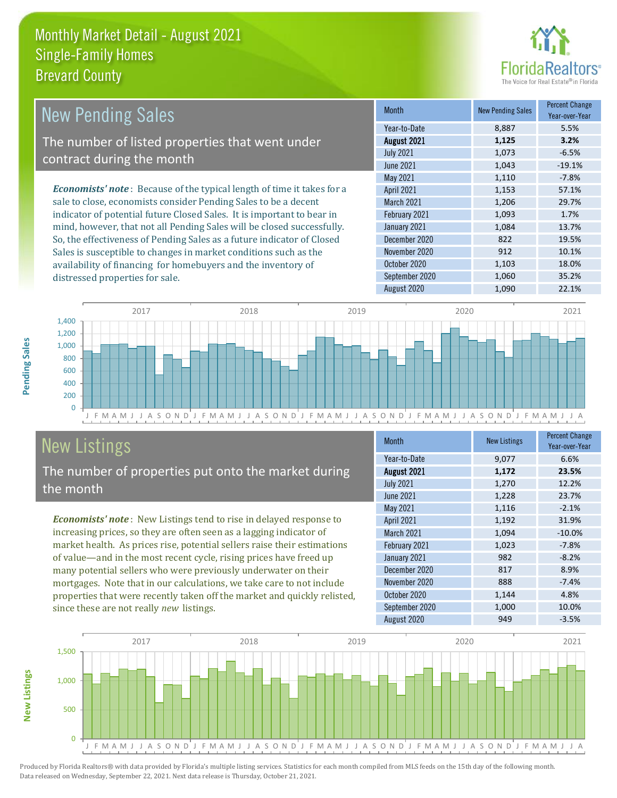

| <b>New Pending Sales</b>                                                      | <b>Month</b>      | <b>New Pending Sales</b> | <b>Percent Change</b><br>Year-over-Year |
|-------------------------------------------------------------------------------|-------------------|--------------------------|-----------------------------------------|
|                                                                               | Year-to-Date      | 8,887                    | 5.5%                                    |
| The number of listed properties that went under                               | August 2021       | 1,125                    | 3.2%                                    |
| contract during the month                                                     | <b>July 2021</b>  | 1,073                    | $-6.5%$                                 |
|                                                                               | <b>June 2021</b>  | 1,043                    | $-19.1%$                                |
|                                                                               | May 2021          | 1,110                    | $-7.8%$                                 |
| <b>Economists' note:</b> Because of the typical length of time it takes for a | <b>April 2021</b> | 1,153                    | 57.1%                                   |
| sale to close, economists consider Pending Sales to be a decent               | <b>March 2021</b> | 1,206                    | 29.7%                                   |
| indicator of potential future Closed Sales. It is important to bear in        | February 2021     | 1,093                    | 1.7%                                    |
| mind, however, that not all Pending Sales will be closed successfully.        | January 2021      | 1,084                    | 13.7%                                   |
| So, the effectiveness of Pending Sales as a future indicator of Closed        | December 2020     | 822                      | 19.5%                                   |
| Sales is susceptible to changes in market conditions such as the              | November 2020     | 912                      | 10.1%                                   |
| availability of financing for homebuyers and the inventory of                 | October 2020      | 1,103                    | 18.0%                                   |



## New Listings

**New Listings**

**Pending Sales**

Pending Sales

distressed properties for sale.

The number of properties put onto the market during the month

*Economists' note* : New Listings tend to rise in delayed response to increasing prices, so they are often seen as a lagging indicator of market health. As prices rise, potential sellers raise their estimations of value—and in the most recent cycle, rising prices have freed up many potential sellers who were previously underwater on their mortgages. Note that in our calculations, we take care to not include properties that were recently taken off the market and quickly relisted, since these are not really *new* listings.

| <b>Month</b>     | <b>New Listings</b> | <b>Percent Change</b><br>Year-over-Year |
|------------------|---------------------|-----------------------------------------|
| Year-to-Date     | 9,077               | 6.6%                                    |
| August 2021      | 1,172               | 23.5%                                   |
| <b>July 2021</b> | 1,270               | 12.2%                                   |
| June 2021        | 1,228               | 23.7%                                   |
| May 2021         | 1,116               | $-2.1%$                                 |
| April 2021       | 1,192               | 31.9%                                   |
| March 2021       | 1,094               | $-10.0%$                                |
| February 2021    | 1,023               | $-7.8%$                                 |
| January 2021     | 982                 | $-8.2%$                                 |
| December 2020    | 817                 | 8.9%                                    |
| November 2020    | 888                 | $-7.4%$                                 |
| October 2020     | 1,144               | 4.8%                                    |
| September 2020   | 1,000               | 10.0%                                   |
| August 2020      | 949                 | $-3.5%$                                 |

September 2020 1,060 35.2% August 2020 1,090 22.1%

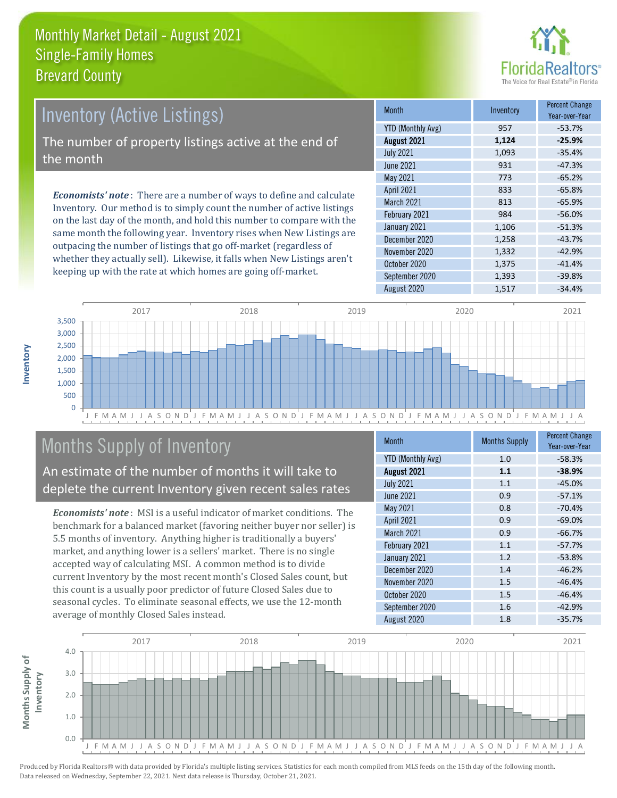

## *Economists' note* : There are a number of ways to define and calculate Inventory (Active Listings) The number of property listings active at the end of the month

Inventory. Our method is to simply count the number of active listings on the last day of the month, and hold this number to compare with the same month the following year. Inventory rises when New Listings are outpacing the number of listings that go off-market (regardless of whether they actually sell). Likewise, it falls when New Listings aren't keeping up with the rate at which homes are going off-market.

| <b>Month</b>             | Inventory | <b>Percent Change</b><br>Year-over-Year |
|--------------------------|-----------|-----------------------------------------|
| <b>YTD (Monthly Avg)</b> | 957       | $-53.7%$                                |
| August 2021              | 1,124     | $-25.9%$                                |
| <b>July 2021</b>         | 1,093     | $-35.4%$                                |
| <b>June 2021</b>         | 931       | $-47.3%$                                |
| May 2021                 | 773       | $-65.2%$                                |
| April 2021               | 833       | $-65.8%$                                |
| March 2021               | 813       | $-65.9%$                                |
| February 2021            | 984       | $-56.0%$                                |
| January 2021             | 1,106     | $-51.3%$                                |
| December 2020            | 1,258     | $-43.7%$                                |
| November 2020            | 1,332     | $-42.9%$                                |
| October 2020             | 1,375     | $-41.4%$                                |
| September 2020           | 1,393     | $-39.8%$                                |
| August 2020              | 1,517     | $-34.4%$                                |



## Months Supply of Inventory

An estimate of the number of months it will take to deplete the current Inventory given recent sales rates

*Economists' note* : MSI is a useful indicator of market conditions. The benchmark for a balanced market (favoring neither buyer nor seller) is 5.5 months of inventory. Anything higher is traditionally a buyers' market, and anything lower is a sellers' market. There is no single accepted way of calculating MSI. A common method is to divide current Inventory by the most recent month's Closed Sales count, but this count is a usually poor predictor of future Closed Sales due to seasonal cycles. To eliminate seasonal effects, we use the 12-month average of monthly Closed Sales instead.

| <b>Month</b>             | <b>Months Supply</b> | <b>Percent Change</b><br>Year-over-Year |
|--------------------------|----------------------|-----------------------------------------|
| <b>YTD (Monthly Avg)</b> | 1.0                  | $-58.3%$                                |
| August 2021              | 1.1                  | $-38.9%$                                |
| <b>July 2021</b>         | 1.1                  | $-45.0%$                                |
| <b>June 2021</b>         | 0.9                  | $-57.1%$                                |
| May 2021                 | 0.8                  | $-70.4%$                                |
| April 2021               | 0.9                  | $-69.0%$                                |
| March 2021               | 0.9                  | $-66.7%$                                |
| February 2021            | 1.1                  | $-57.7%$                                |
| January 2021             | 1.2                  | $-53.8%$                                |
| December 2020            | 1.4                  | $-46.2%$                                |
| November 2020            | 1.5                  | $-46.4%$                                |
| October 2020             | 1.5                  | $-46.4%$                                |
| September 2020           | 1.6                  | $-42.9%$                                |
| August 2020              | 1.8                  | $-35.7%$                                |

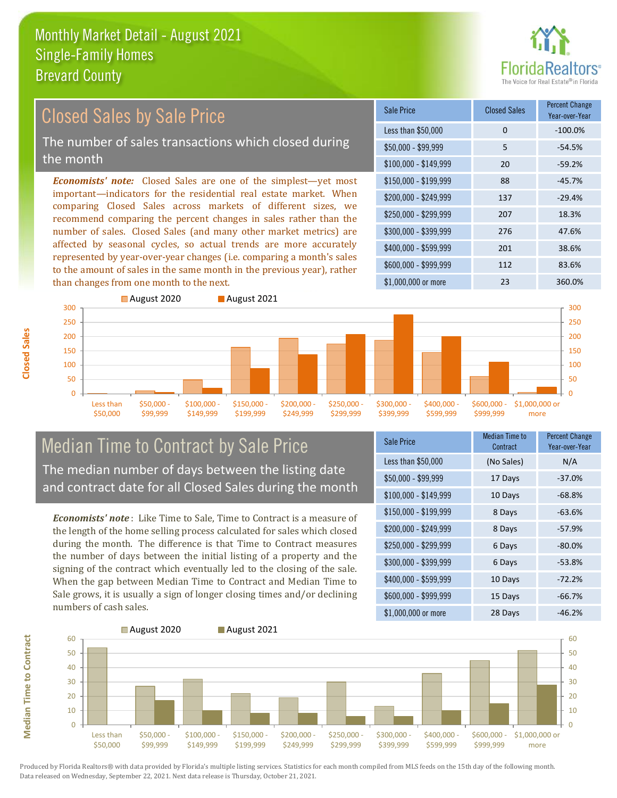

#### *Economists' note:* Closed Sales are one of the simplest—yet most important—indicators for the residential real estate market. When comparing Closed Sales across markets of different sizes, we recommend comparing the percent changes in sales rather than the number of sales. Closed Sales (and many other market metrics) are affected by seasonal cycles, so actual trends are more accurately represented by year-over-year changes (i.e. comparing a month's sales to the amount of sales in the same month in the previous year), rather than changes from one month to the next. \$1,000,000 or more 23 360.0% \$250,000 - \$299,999 207 18.3% \$300,000 - \$399,999 276 47.6% \$400,000 - \$599,999 201 38.6% \$600,000 - \$999,999 112 83.6% \$150,000 - \$199,999 88 -45.7% \$200,000 - \$249,999 137 -29.4% \$100,000 - \$149,999 20 -59.2% Sale Price Closed Sales Percent Change Year-over-Year Less than \$50,000 0 0 -100.0% \$50,000 - \$99,999 5 -54.5% 200 250 300 August 2020 **August 2021** 200 250 300 Closed Sales by Sale Price The number of sales transactions which closed during the month

#### Median Time to Contract by Sale Price The median number of days between the listing date and contract date for all Closed Sales during the month

\$100,000 \$149,999 \$150,000 - \$199,999

\$200,000 - \$249,999

\$250,000 - \$299,999

\$300,000 - \$399,999

\$400,000 - \$599,999

*Economists' note* : Like Time to Sale, Time to Contract is a measure of the length of the home selling process calculated for sales which closed during the month. The difference is that Time to Contract measures the number of days between the initial listing of a property and the signing of the contract which eventually led to the closing of the sale. When the gap between Median Time to Contract and Median Time to Sale grows, it is usually a sign of longer closing times and/or declining numbers of cash sales.

| <b>Sale Price</b>     | <b>Median Time to</b><br>Contract | <b>Percent Change</b><br>Year-over-Year |
|-----------------------|-----------------------------------|-----------------------------------------|
| Less than \$50,000    | (No Sales)                        | N/A                                     |
| $$50,000 - $99,999$   | 17 Days                           | $-37.0%$                                |
| $$100,000 - $149,999$ | 10 Days                           | $-68.8%$                                |
| $$150,000 - $199,999$ | 8 Days                            | $-63.6%$                                |
| \$200,000 - \$249,999 | 8 Days                            | $-57.9%$                                |
| \$250,000 - \$299,999 | 6 Days                            | $-80.0%$                                |
| \$300,000 - \$399,999 | 6 Days                            | $-53.8%$                                |
| \$400,000 - \$599,999 | 10 Days                           | $-72.2%$                                |
| \$600,000 - \$999,999 | 15 Days                           | $-66.7%$                                |
| \$1,000,000 or more   | 28 Days                           | -46.2%                                  |

\$600,000 - \$999,999

\$1,000,000 or more



**Closed Sales**

Less than \$50,000

\$50,000 - \$99,999

**Median Time to Contract**

**Median Time to Contract**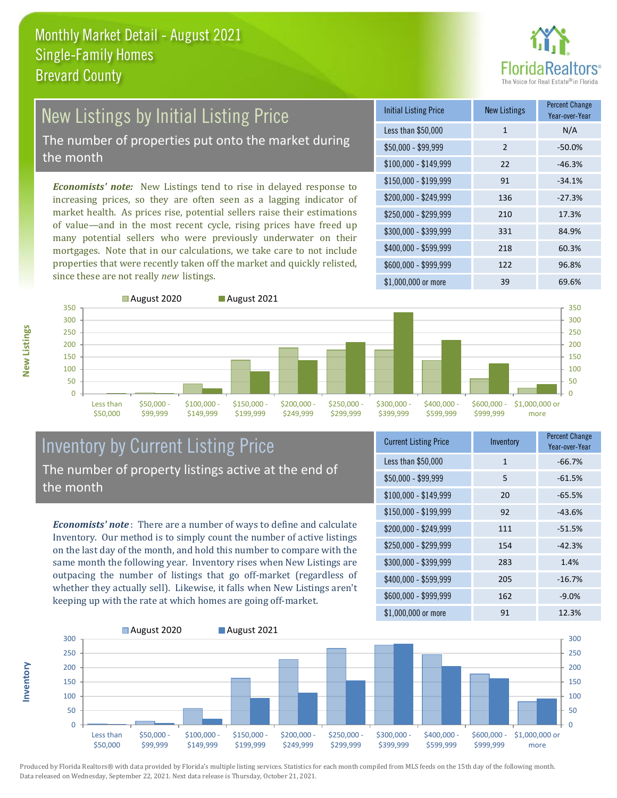

# New Listings by Initial Listing Price

The number of properties put onto the market during the month

*Economists' note:* New Listings tend to rise in delayed response to increasing prices, so they are often seen as a lagging indicator of market health. As prices rise, potential sellers raise their estimations of value—and in the most recent cycle, rising prices have freed up many potential sellers who were previously underwater on their mortgages. Note that in our calculations, we take care to not include properties that were recently taken off the market and quickly relisted, since these are not really *new* listings.

| <b>Initial Listing Price</b> | <b>New Listings</b> | <b>Percent Change</b><br>Year-over-Year |
|------------------------------|---------------------|-----------------------------------------|
| Less than \$50,000           | $\mathbf{1}$        | N/A                                     |
| $$50,000 - $99,999$          | $\mathcal{P}$       | $-50.0%$                                |
| $$100,000 - $149,999$        | 22                  | $-46.3%$                                |
| $$150,000 - $199,999$        | 91                  | $-34.1%$                                |
| \$200,000 - \$249,999        | 136                 | $-27.3%$                                |
| \$250,000 - \$299,999        | 210                 | 17.3%                                   |
| \$300,000 - \$399,999        | 331                 | 84.9%                                   |
| \$400,000 - \$599,999        | 218                 | 60.3%                                   |
| \$600,000 - \$999,999        | 122                 | 96.8%                                   |
| \$1,000,000 or more          | 39                  | 69.6%                                   |



#### Inventory by Current Listing Price The number of property listings active at the end of the month

*Economists' note* : There are a number of ways to define and calculate Inventory. Our method is to simply count the number of active listings on the last day of the month, and hold this number to compare with the same month the following year. Inventory rises when New Listings are outpacing the number of listings that go off-market (regardless of whether they actually sell). Likewise, it falls when New Listings aren't keeping up with the rate at which homes are going off-market.

| <b>Current Listing Price</b> | Inventory    | <b>Percent Change</b><br>Year-over-Year |
|------------------------------|--------------|-----------------------------------------|
| Less than \$50,000           | $\mathbf{1}$ | $-66.7%$                                |
| $$50,000 - $99,999$          | 5            | $-61.5%$                                |
| $$100,000 - $149,999$        | 20           | $-65.5%$                                |
| $$150,000 - $199,999$        | 92           | $-43.6%$                                |
| \$200,000 - \$249,999        | 111          | $-51.5%$                                |
| \$250,000 - \$299,999        | 154          | $-42.3%$                                |
| \$300,000 - \$399,999        | 283          | 1.4%                                    |
| $$400,000 - $599,999$        | 205          | $-16.7%$                                |
| \$600,000 - \$999,999        | 162          | $-9.0%$                                 |
| \$1,000,000 or more          | 91           | 12.3%                                   |



Produced by Florida Realtors® with data provided by Florida's multiple listing services. Statistics for each month compiled from MLS feeds on the 15th day of the following month. Data released on Wednesday, September 22, 2021. Next data release is Thursday, October 21, 2021.

**Inventory**